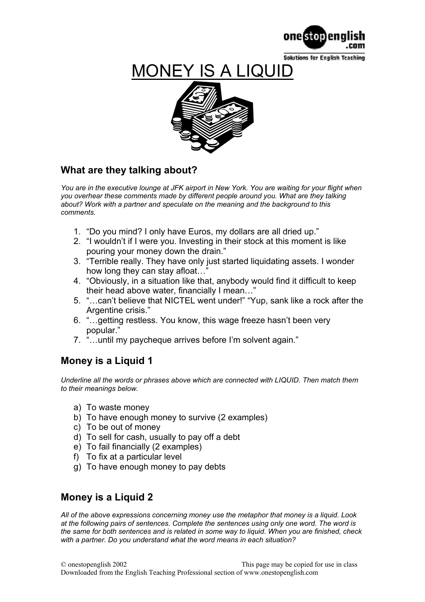

**Solutions for English Teaching** 

## **MONEY IS A LIQUII**



## **What are they talking about?**

*You are in the executive lounge at JFK airport in New York. You are waiting for your flight when you overhear these comments made by different people around you. What are they talking about? Work with a partner and speculate on the meaning and the background to this comments.*

- 1. "Do you mind? I only have Euros, my dollars are all dried up."
- 2. "I wouldn't if I were you. Investing in their stock at this moment is like pouring your money down the drain."
- 3. "Terrible really. They have only just started liquidating assets. I wonder how long they can stay afloat...'
- 4. "Obviously, in a situation like that, anybody would find it difficult to keep their head above water, financially I mean…"
- 5. "…can't believe that NICTEL went under!" "Yup, sank like a rock after the Argentine crisis."
- 6. "…getting restless. You know, this wage freeze hasn't been very popular."
- 7. "…until my paycheque arrives before I'm solvent again."

## **Money is a Liquid 1**

Underline all the words or phrases above which are connected with LIQUID. Then match them *to their meanings below.* 

- a) To waste money
- b) To have enough money to survive (2 examples)
- c) To be out of money
- d) To sell for cash, usually to pay off a debt
- e) To fail financially (2 examples)
- f) To fix at a particular level
- g) To have enough money to pay debts

## **Money is a Liquid 2**

*All of the above expressions concerning money use the metaphor that money is a liquid. Look at the following pairs of sentences. Complete the sentences using only one word. The word is the same for both sentences and is related in some way to liquid. When you are finished, check with a partner. Do you understand what the word means in each situation?*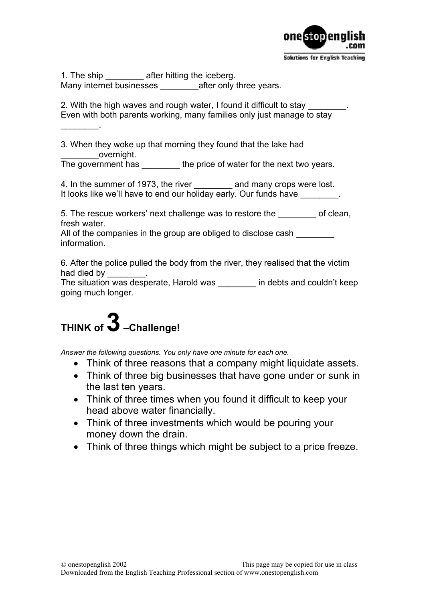

1. The ship after hitting the iceberg. Many internet businesses after only three years.

2. With the high waves and rough water, I found it difficult to stay Even with both parents working, many families only just manage to stay

3. When they woke up that morning they found that the lake had overnight.

The government has \_\_\_\_\_\_\_\_\_ the price of water for the next two years.

4. In the summer of 1973, the river and many crops were lost. It looks like we'll have to end our holiday early. Our funds have

5. The rescue workers' next challenge was to restore the of clean, fresh water.

All of the companies in the group are obliged to disclose cash information.

6. After the police pulled the body from the river, they realised that the victim had died by

The situation was desperate, Harold was \_\_\_\_\_\_\_\_ in debts and couldn't keep going much longer.

# **THINK of 3 –Challenge!**

 $\mathcal{L}=\mathcal{L}$ 

*Answer the following questions. You only have one minute for each one.* 

- Think of three reasons that a company might liquidate assets.
- Think of three big businesses that have gone under or sunk in the last ten years.
- Think of three times when you found it difficult to keep your head above water financially.
- Think of three investments which would be pouring your money down the drain.
- Think of three things which might be subject to a price freeze.